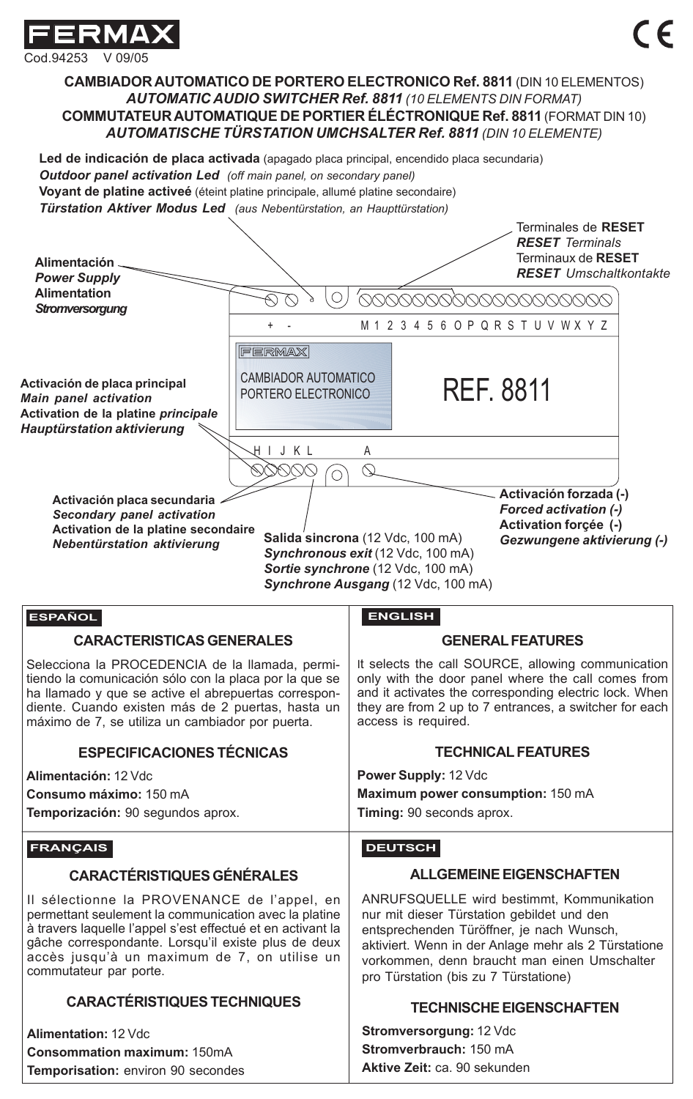

Cod.94253 V 09/05

**CAMBIADOR AUTOMATICO DE PORTERO ELECTRONICO Ref. 8811** (DIN 10 ELEMENTOS) *AUTOMATIC AUDIO SWITCHER Ref. 8811 (10 ELEMENTS DIN FORMAT)* **COMMUTATEUR AUTOMATIQUE DE PORTIER ÉLÉCTRONIQUE Ref. 8811** (FORMAT DIN 10) *AUTOMATISCHE TÜRSTATION UMCHSALTER Ref. 8811 (DIN 10 ELEMENTE)*

**Led de indicación de placa activada** (apagado placa principal, encendido placa secundaria) *Outdoor panel activation Led (off main panel, on secondary panel)* **Voyant de platine activeé** (éteint platine principale, allumé platine secondaire) *Türstation Aktiver Modus Led (aus Nebentürstation, an Haupttürstation)*

| Alimentación.<br><b>Power Supply</b><br><b>Alimentation</b>                                                                                                                                                                                                                                                                                                                                          | $\overline{a}$ $\overline{b}$ $\overline{c}$ $\overline{c}$ and $\overline{c}$ reporting station, and napture station, |                                                                                                                                                                                                                                                                                       |                | Terminales de RESET<br><b>RESET</b> Terminals<br>Terminaux de RESET<br><b>RESET</b> Umschaltkontakte |
|------------------------------------------------------------------------------------------------------------------------------------------------------------------------------------------------------------------------------------------------------------------------------------------------------------------------------------------------------------------------------------------------------|------------------------------------------------------------------------------------------------------------------------|---------------------------------------------------------------------------------------------------------------------------------------------------------------------------------------------------------------------------------------------------------------------------------------|----------------|------------------------------------------------------------------------------------------------------|
| Stromversorgung                                                                                                                                                                                                                                                                                                                                                                                      | <u>(VOOOOOO)</u><br>10000000                                                                                           |                                                                                                                                                                                                                                                                                       |                |                                                                                                      |
|                                                                                                                                                                                                                                                                                                                                                                                                      | M123456OPQRSTUVWXYZ                                                                                                    |                                                                                                                                                                                                                                                                                       |                |                                                                                                      |
| Activación de placa principal<br><b>Main panel activation</b><br>Activation de la platine principale<br><b>Hauptürstation aktivierung</b>                                                                                                                                                                                                                                                            | <b>FERMAX</b><br>CAMBIADOR AUTOMATICO<br>PORTERO ELECTRONICO                                                           |                                                                                                                                                                                                                                                                                       |                | <b>REF. 8811</b>                                                                                     |
| HIJKL<br>А                                                                                                                                                                                                                                                                                                                                                                                           |                                                                                                                        |                                                                                                                                                                                                                                                                                       |                |                                                                                                      |
|                                                                                                                                                                                                                                                                                                                                                                                                      | ∩                                                                                                                      | $\mathbb{Q}$                                                                                                                                                                                                                                                                          |                |                                                                                                      |
| Activación forzada (-)<br>Activación placa secundaria<br><b>Forced activation (-)</b><br>Secondary panel activation<br>Activation forçée (-)<br>Activation de la platine secondaire<br>Salida sincrona (12 Vdc, 100 mA)<br>Gezwungene aktivierung (-)<br>Nebentürstation aktivierung<br>Synchronous exit (12 Vdc, 100 mA)<br>Sortie synchrone (12 Vdc, 100 mA)<br>Synchrone Ausgang (12 Vdc, 100 mA) |                                                                                                                        |                                                                                                                                                                                                                                                                                       |                |                                                                                                      |
| <b>ESPAÑOL</b>                                                                                                                                                                                                                                                                                                                                                                                       |                                                                                                                        | <b>ENGLISH</b>                                                                                                                                                                                                                                                                        |                |                                                                                                      |
| <b>CARACTERISTICAS GENERALES</b>                                                                                                                                                                                                                                                                                                                                                                     |                                                                                                                        | <b>GENERAL FEATURES</b>                                                                                                                                                                                                                                                               |                |                                                                                                      |
| Selecciona la PROCEDENCIA de la llamada, permi-<br>tiendo la comunicación sólo con la placa por la que se<br>ha llamado y que se active el abrepuertas correspon-<br>diente. Cuando existen más de 2 puertas, hasta un<br>máximo de 7, se utiliza un cambiador por puerta.                                                                                                                           |                                                                                                                        | It selects the call SOURCE, allowing communication<br>only with the door panel where the call comes from<br>and it activates the corresponding electric lock. When<br>they are from 2 up to 7 entrances, a switcher for each<br>access is required.                                   |                |                                                                                                      |
| <b>ESPECIFICACIONES TÉCNICAS</b>                                                                                                                                                                                                                                                                                                                                                                     |                                                                                                                        | <b>TECHNICAL FEATURES</b>                                                                                                                                                                                                                                                             |                |                                                                                                      |
| Alimentación: 12 Vdc                                                                                                                                                                                                                                                                                                                                                                                 |                                                                                                                        | Power Supply: 12 Vdc                                                                                                                                                                                                                                                                  |                |                                                                                                      |
| Consumo máximo: 150 mA                                                                                                                                                                                                                                                                                                                                                                               |                                                                                                                        | Maximum power consumption: 150 mA<br>Timing: 90 seconds aprox.                                                                                                                                                                                                                        |                |                                                                                                      |
| Temporización: 90 segundos aprox.                                                                                                                                                                                                                                                                                                                                                                    |                                                                                                                        |                                                                                                                                                                                                                                                                                       |                |                                                                                                      |
| <b>FRANCAIS</b>                                                                                                                                                                                                                                                                                                                                                                                      |                                                                                                                        |                                                                                                                                                                                                                                                                                       | <b>DEUTSCH</b> |                                                                                                      |
| <b>CARACTÉRISTIQUES GÉNÉRALES</b>                                                                                                                                                                                                                                                                                                                                                                    |                                                                                                                        | <b>ALLGEMEINE EIGENSCHAFTEN</b>                                                                                                                                                                                                                                                       |                |                                                                                                      |
| Il sélectionne la PROVENANCE de l'appel, en<br>permettant seulement la communication avec la platine<br>à travers laquelle l'appel s'est effectué et en activant la<br>gâche correspondante. Lorsqu'il existe plus de deux<br>accès jusqu'à un maximum de 7, on utilise un<br>commutateur par porte.                                                                                                 |                                                                                                                        | ANRUFSQUELLE wird bestimmt, Kommunikation<br>nur mit dieser Türstation gebildet und den<br>entsprechenden Türöffner, je nach Wunsch,<br>aktiviert. Wenn in der Anlage mehr als 2 Türstatione<br>vorkommen, denn braucht man einen Umschalter<br>pro Türstation (bis zu 7 Türstatione) |                |                                                                                                      |
| <b>CARACTÉRISTIQUES TECHNIQUES</b>                                                                                                                                                                                                                                                                                                                                                                   |                                                                                                                        | <b>TECHNISCHE EIGENSCHAFTEN</b>                                                                                                                                                                                                                                                       |                |                                                                                                      |
| Alimentation: 12 Vdc                                                                                                                                                                                                                                                                                                                                                                                 |                                                                                                                        | Stromversorgung: 12 Vdc                                                                                                                                                                                                                                                               |                |                                                                                                      |
| <b>Consommation maximum: 150mA</b>                                                                                                                                                                                                                                                                                                                                                                   |                                                                                                                        | Stromverbrauch: 150 mA<br>Aktive Zeit: ca. 90 sekunden                                                                                                                                                                                                                                |                |                                                                                                      |
| Temporisation: environ 90 secondes                                                                                                                                                                                                                                                                                                                                                                   |                                                                                                                        |                                                                                                                                                                                                                                                                                       |                |                                                                                                      |